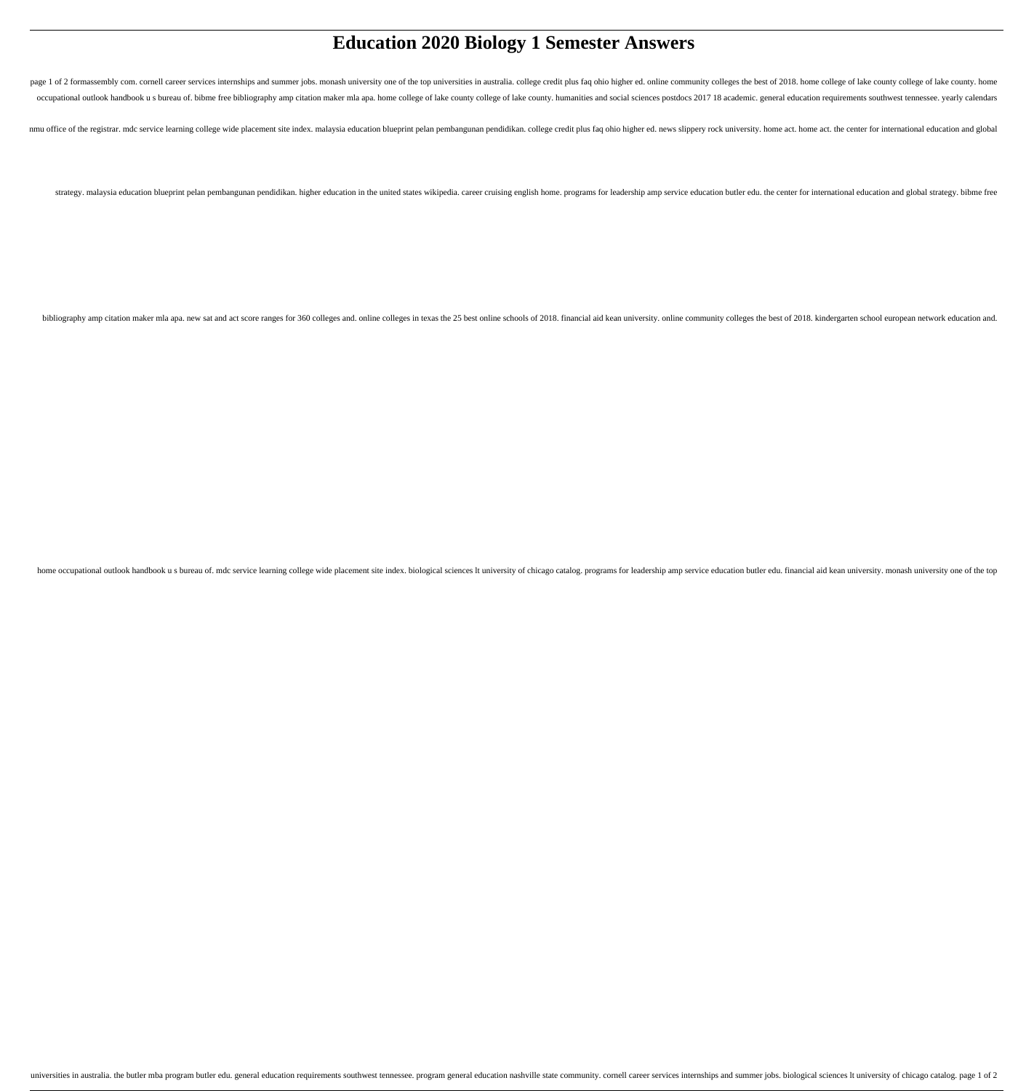# **Education 2020 Biology 1 Semester Answers**

page 1 of 2 formassembly com. cornell career services internships and summer jobs. monash university one of the top universities in australia. college credit plus faq ohio higher ed. online community colleges the best of 2 occupational outlook handbook us bureau of. bibme free bibliography amp citation maker mla apa. home college of lake county college of lake county. humanities and social sciences postdocs 2017 18 academic. general educatio

nmu office of the registrar. mdc service learning college wide placement site index. malaysia education blueprint pelan pembangunan pendidikan. college credit plus faq ohio higher ed. news slippery rock university. home ac

strategy. malaysia education blueprint pelan pembangunan pendidikan. higher education in the united states wikipedia. career cruising english home. programs for leadership amp service education butler edu. the center for i

bibliography amp citation maker mla apa. new sat and act score ranges for 360 colleges and. online colleges in texas the 25 best online schools of 2018. financial aid kean university. online community colleges the best of

home occupational outlook handbook us bureau of. mdc service learning college wide placement site index. biological sciences It university of chicago catalog. programs for leadership amp service education butler edu. finan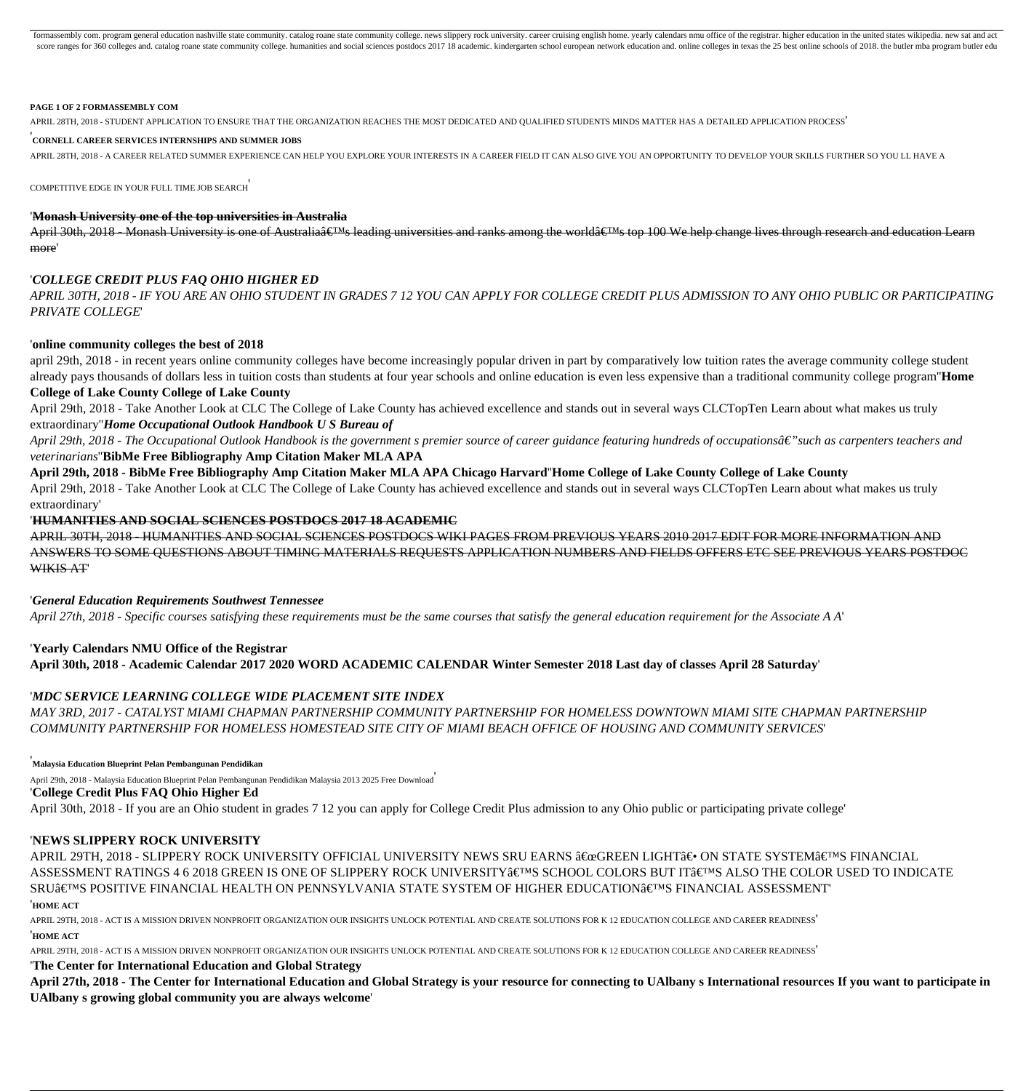formassembly com. program general education nashville state community. catalog roane state community college. news slippery rock university. career cruising english home. yearly calendars nmu office of the registrar. highe score ranges for 360 colleges and, catalog roane state community college, humanities and social sciences postdocs 2017 18 academic, kinderearten school european network education and, online colleges in texas the 25 best o

#### **PAGE 1 OF 2 FORMASSEMBLY COM**

APRIL 28TH, 2018 - STUDENT APPLICATION TO ENSURE THAT THE ORGANIZATION REACHES THE MOST DEDICATED AND QUALIFIED STUDENTS MINDS MATTER HAS A DETAILED APPLICATION PROCESS'

#### '**CORNELL CAREER SERVICES INTERNSHIPS AND SUMMER JOBS**

APRIL 28TH, 2018 - A CAREER RELATED SUMMER EXPERIENCE CAN HELP YOU EXPLORE YOUR INTERESTS IN A CAREER FIELD IT CAN ALSO GIVE YOU AN OPPORTUNITY TO DEVELOP YOUR SKILLS FURTHER SO YOU LL HAVE A

COMPETITIVE EDGE IN YOUR FULL TIME JOB SEARCH'

#### '**Monash University one of the top universities in Australia**

April 30th, 2018 - Monash University is one of Australia $\hat{\epsilon}$  UM seading universities and ranks among the world $\hat{\epsilon}$  UM stop 100 We help change lives through research and education Learn more'

#### '*COLLEGE CREDIT PLUS FAQ OHIO HIGHER ED*

*APRIL 30TH, 2018 - IF YOU ARE AN OHIO STUDENT IN GRADES 7 12 YOU CAN APPLY FOR COLLEGE CREDIT PLUS ADMISSION TO ANY OHIO PUBLIC OR PARTICIPATING PRIVATE COLLEGE*'

#### '**online community colleges the best of 2018**

april 29th, 2018 - in recent years online community colleges have become increasingly popular driven in part by comparatively low tuition rates the average community college student already pays thousands of dollars less in tuition costs than students at four year schools and online education is even less expensive than a traditional community college program''**Home College of Lake County College of Lake County**

April 29th, 2018 - Take Another Look at CLC The College of Lake County has achieved excellence and stands out in several ways CLCTopTen Learn about what makes us truly extraordinary''*Home Occupational Outlook Handbook U S Bureau of*

April 29th, 2018 - The Occupational Outlook Handbook is the government s premier source of career guidance featuring hundreds of occupationsâ€" such as carpenters teachers and *veterinarians*''**BibMe Free Bibliography Amp Citation Maker MLA APA**

**April 29th, 2018 - BibMe Free Bibliography Amp Citation Maker MLA APA Chicago Harvard**''**Home College of Lake County College of Lake County** April 29th, 2018 - Take Another Look at CLC The College of Lake County has achieved excellence and stands out in several ways CLCTopTen Learn about what makes us truly extraordinary'

#### '**HUMANITIES AND SOCIAL SCIENCES POSTDOCS 2017 18 ACADEMIC**

APRIL 30TH, 2018 - HUMANITIES AND SOCIAL SCIENCES POSTDOCS WIKI PAGES FROM PREVIOUS YEARS 2010 2017 EDIT FOR MORE INFORMATION AND ANSWERS TO SOME QUESTIONS ABOUT TIMING MATERIALS REQUESTS APPLICATION NUMBERS AND FIELDS OFFERS ETC SEE PREVIOUS YEARS POSTDOC WIKIS AT'

#### '*General Education Requirements Southwest Tennessee*

*April 27th, 2018 - Specific courses satisfying these requirements must be the same courses that satisfy the general education requirement for the Associate A A*'

## '**Yearly Calendars NMU Office of the Registrar April 30th, 2018 - Academic Calendar 2017 2020 WORD ACADEMIC CALENDAR Winter Semester 2018 Last day of classes April 28 Saturday**'

#### '*MDC SERVICE LEARNING COLLEGE WIDE PLACEMENT SITE INDEX*

*MAY 3RD, 2017 - CATALYST MIAMI CHAPMAN PARTNERSHIP COMMUNITY PARTNERSHIP FOR HOMELESS DOWNTOWN MIAMI SITE CHAPMAN PARTNERSHIP COMMUNITY PARTNERSHIP FOR HOMELESS HOMESTEAD SITE CITY OF MIAMI BEACH OFFICE OF HOUSING AND COMMUNITY SERVICES*'

'**Malaysia Education Blueprint Pelan Pembangunan Pendidikan**

April 29th, 2018 - Malaysia Education Blueprint Pelan Pembangunan Pendidikan Malaysia 2013 2025 Free Download'

'**College Credit Plus FAQ Ohio Higher Ed**

April 30th, 2018 - If you are an Ohio student in grades 7 12 you can apply for College Credit Plus admission to any Ohio public or participating private college'

#### '**NEWS SLIPPERY ROCK UNIVERSITY**

APRIL 29TH, 2018 - SLIPPERY ROCK UNIVERSITY OFFICIAL UNIVERSITY NEWS SRU EARNS "GREEN LIGHT― ON STATE SYSTEM'S FINANCIAL ASSESSMENT RATINGS 4 6 2018 GREEN IS ONE OF SLIPPERY ROCK UNIVERSITY'S SCHOOL COLORS BUT IT'S ALSO THE COLOR USED TO INDICATE SRU'S POSITIVE FINANCIAL HEALTH ON PENNSYLVANIA STATE SYSTEM OF HIGHER EDUCATION'S FINANCIAL ASSESSMENT' '**HOME ACT**

APRIL 29TH, 2018 - ACT IS A MISSION DRIVEN NONPROFIT ORGANIZATION OUR INSIGHTS UNLOCK POTENTIAL AND CREATE SOLUTIONS FOR K 12 EDUCATION COLLEGE AND CAREER READINESS' '**HOME ACT**

APRIL 29TH, 2018 - ACT IS A MISSION DRIVEN NONPROFIT ORGANIZATION OUR INSIGHTS UNLOCK POTENTIAL AND CREATE SOLUTIONS FOR K 12 EDUCATION COLLEGE AND CAREER READINESS'

'**The Center for International Education and Global Strategy**

**April 27th, 2018 - The Center for International Education and Global Strategy is your resource for connecting to UAlbany s International resources If you want to participate in UAlbany s growing global community you are always welcome**'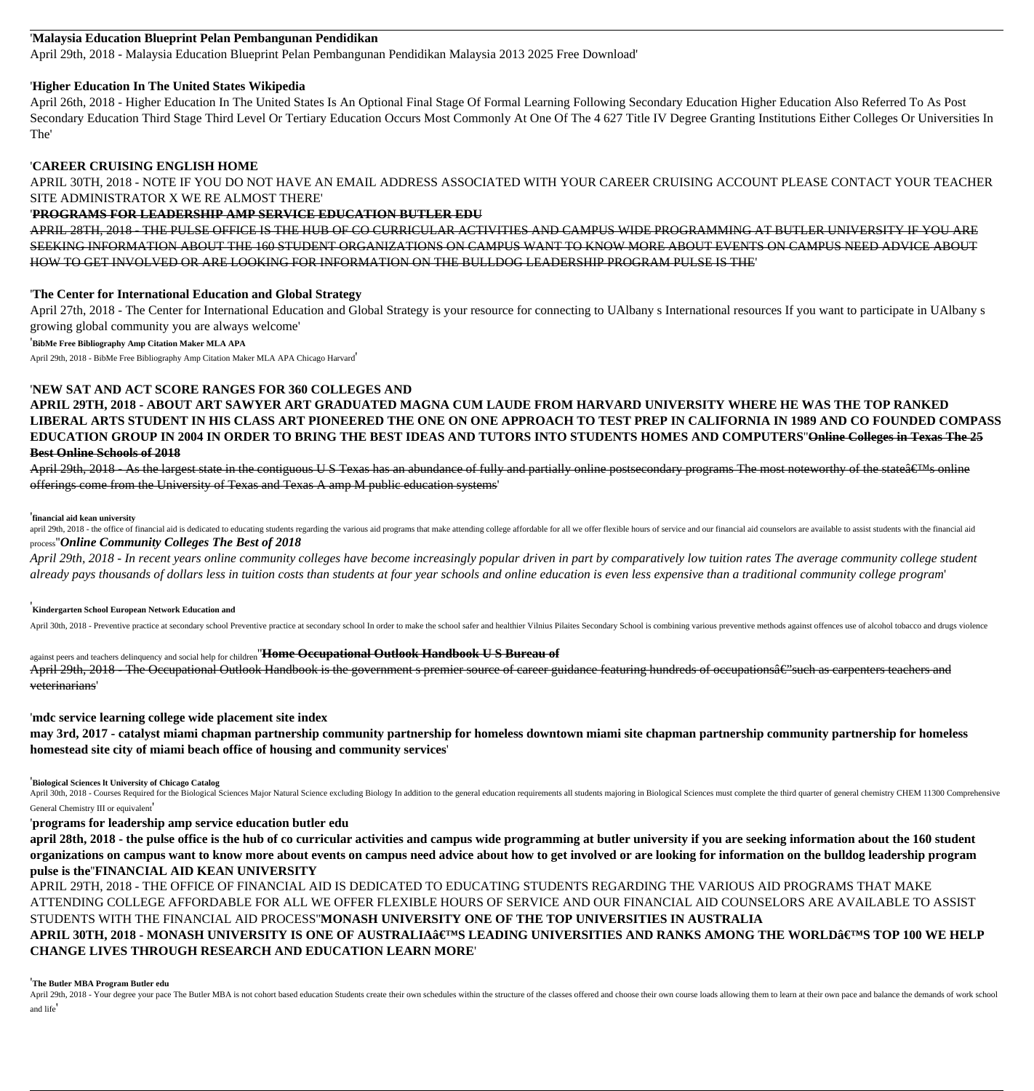## '**Malaysia Education Blueprint Pelan Pembangunan Pendidikan**

April 29th, 2018 - Malaysia Education Blueprint Pelan Pembangunan Pendidikan Malaysia 2013 2025 Free Download'

#### '**Higher Education In The United States Wikipedia**

April 26th, 2018 - Higher Education In The United States Is An Optional Final Stage Of Formal Learning Following Secondary Education Higher Education Also Referred To As Post Secondary Education Third Stage Third Level Or Tertiary Education Occurs Most Commonly At One Of The 4 627 Title IV Degree Granting Institutions Either Colleges Or Universities In The'

#### '**CAREER CRUISING ENGLISH HOME**

APRIL 30TH, 2018 - NOTE IF YOU DO NOT HAVE AN EMAIL ADDRESS ASSOCIATED WITH YOUR CAREER CRUISING ACCOUNT PLEASE CONTACT YOUR TEACHER SITE ADMINISTRATOR X WE RE ALMOST THERE'

#### '**PROGRAMS FOR LEADERSHIP AMP SERVICE EDUCATION BUTLER EDU**

APRIL 28TH, 2018 - THE PULSE OFFICE IS THE HUB OF CO CURRICULAR ACTIVITIES AND CAMPUS WIDE PROGRAMMING AT BUTLER UNIVERSITY IF YOU ARE SEEKING INFORMATION ABOUT THE 160 STUDENT ORGANIZATIONS ON CAMPUS WANT TO KNOW MORE ABOUT EVENTS ON CAMPUS NEED ADVICE ABOUT HOW TO GET INVOLVED OR ARE LOOKING FOR INFORMATION ON THE BULLDOG LEADERSHIP PROGRAM PULSE IS THE'

### '**The Center for International Education and Global Strategy**

April 27th, 2018 - The Center for International Education and Global Strategy is your resource for connecting to UAlbany s International resources If you want to participate in UAlbany s growing global community you are always welcome'

'**BibMe Free Bibliography Amp Citation Maker MLA APA**

April 29th, 2018 - BibMe Free Bibliography Amp Citation Maker MLA APA Chicago Harvard'

## '**NEW SAT AND ACT SCORE RANGES FOR 360 COLLEGES AND**

**APRIL 29TH, 2018 - ABOUT ART SAWYER ART GRADUATED MAGNA CUM LAUDE FROM HARVARD UNIVERSITY WHERE HE WAS THE TOP RANKED LIBERAL ARTS STUDENT IN HIS CLASS ART PIONEERED THE ONE ON ONE APPROACH TO TEST PREP IN CALIFORNIA IN 1989 AND CO FOUNDED COMPASS EDUCATION GROUP IN 2004 IN ORDER TO BRING THE BEST IDEAS AND TUTORS INTO STUDENTS HOMES AND COMPUTERS**''**Online Colleges in Texas The 25 Best Online Schools of 2018**

April 29th, 2018 - As the largest state in the contiguous U S Texas has an abundance of fully and partially online postsecondary programs The most noteworthy of the state  $\hat{\epsilon}$ <sup>TM</sup>s online offerings come from the University of Texas and Texas A amp M public education systems'

#### '**financial aid kean university**

april 29th, 2018 - the office of financial aid is dedicated to educating students regarding the various aid programs that make attending college affordable for all we offer flexible hours of service and our financial aid c process''*Online Community Colleges The Best of 2018*

*April 29th, 2018 - In recent years online community colleges have become increasingly popular driven in part by comparatively low tuition rates The average community college student already pays thousands of dollars less in tuition costs than students at four year schools and online education is even less expensive than a traditional community college program*'

#### '**Kindergarten School European Network Education and**

April 30th, 2018 - Preventive practice at secondary school Preventive practice at secondary school In order to make the school safer and healthier Vilnius Pilaites Secondary School is combining various preventive methods a

against peers and teachers delinquency and social help for children''**Home Occupational Outlook Handbook U S Bureau of** April 29th, 2018 - The Occupational Outlook Handbook is the government s premier source of career guidance featuring hundreds of occupations $\hat{a}\epsilon$ "such as carpenters teachers and veterinarians'

'**mdc service learning college wide placement site index**

**may 3rd, 2017 - catalyst miami chapman partnership community partnership for homeless downtown miami site chapman partnership community partnership for homeless homestead site city of miami beach office of housing and community services**'

#### '**Biological Sciences lt University of Chicago Catalog**

April 30th, 2018 - Courses Required for the Biological Sciences Major Natural Science excluding Biology In addition to the general education requirements all students majoring in Biological Sciences must complete the third General Chemistry III or equivalent

'**programs for leadership amp service education butler edu**

**april 28th, 2018 - the pulse office is the hub of co curricular activities and campus wide programming at butler university if you are seeking information about the 160 student organizations on campus want to know more about events on campus need advice about how to get involved or are looking for information on the bulldog leadership program pulse is the**''**FINANCIAL AID KEAN UNIVERSITY**

APRIL 29TH, 2018 - THE OFFICE OF FINANCIAL AID IS DEDICATED TO EDUCATING STUDENTS REGARDING THE VARIOUS AID PROGRAMS THAT MAKE ATTENDING COLLEGE AFFORDABLE FOR ALL WE OFFER FLEXIBLE HOURS OF SERVICE AND OUR FINANCIAL AID COUNSELORS ARE AVAILABLE TO ASSIST STUDENTS WITH THE FINANCIAL AID PROCESS''**MONASH UNIVERSITY ONE OF THE TOP UNIVERSITIES IN AUSTRALIA**

APRIL 30TH, 2018 - MONASH UNIVERSITY IS ONE OF AUSTRALIA'S LEADING UNIVERSITIES AND RANKS AMONG THE WORLD'S TOP 100 WE HELP **CHANGE LIVES THROUGH RESEARCH AND EDUCATION LEARN MORE**'

#### '**The Butler MBA Program Butler edu**

April 29th, 2018 - Your degree your pace The Butler MBA is not cohort based education Students create their own schedules within the structure of the classes offered and choose their own course loads allowing them to learn and life'